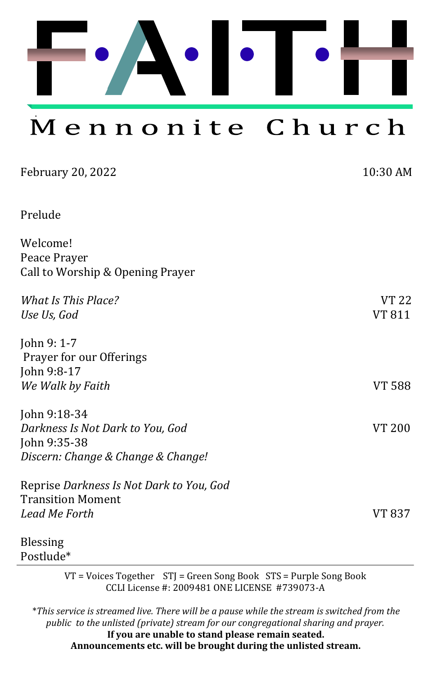Mennonite Church

| <b>February 20, 2022</b>                 | 10:30 AM      |
|------------------------------------------|---------------|
| Prelude                                  |               |
| Welcome!                                 |               |
| Peace Prayer                             |               |
| Call to Worship & Opening Prayer         |               |
| What Is This Place?                      | VT 22         |
| Use Us, God                              | VT 811        |
| John 9: 1-7                              |               |
| Prayer for our Offerings                 |               |
| John 9:8-17                              |               |
| We Walk by Faith                         | <b>VT 588</b> |
| John 9:18-34                             |               |
| Darkness Is Not Dark to You, God         | <b>VT 200</b> |
| John 9:35-38                             |               |
| Discern: Change & Change & Change!       |               |
| Reprise Darkness Is Not Dark to You, God |               |
| <b>Transition Moment</b>                 |               |
| Lead Me Forth                            | VT 837        |
| <b>Blessing</b>                          |               |

Postlude\*

VT = Voices Together STJ = Green Song Book STS = Purple Song Book CCLI License #: 2009481 ONE LICENSE #739073-A

\**This service is streamed live. There will be a pause while the stream is switched from the public to the unlisted (private) stream for our congregational sharing and prayer.*  **If you are unable to stand please remain seated. Announcements etc. will be brought during the unlisted stream.**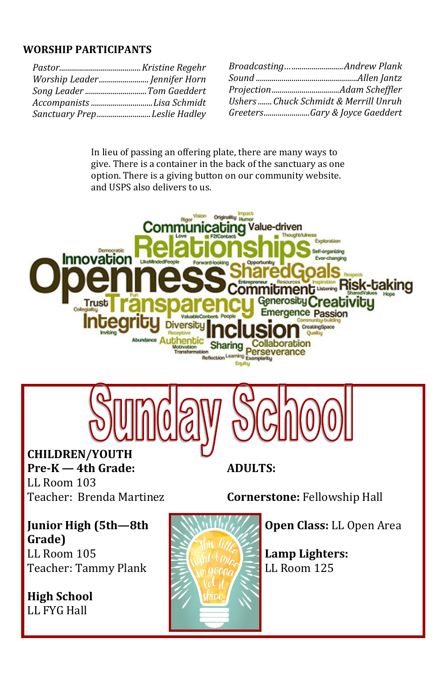#### **WORSHIP PARTICIPANTS**

| Worship Leader Jennifer Horn |  |
|------------------------------|--|
| Song Leader Tom Gaeddert     |  |
| Accompanists Lisa Schmidt    |  |
| Sanctuary PrepLeslie Hadley  |  |

| BroadcastingAndrew Plank              |
|---------------------------------------|
|                                       |
|                                       |
| Ushers  Chuck Schmidt & Merrill Unruh |
| GreetersGary & Joyce Gaeddert         |

In lieu of passing an offering plate, there are many ways to give. There is a container in the back of the sanctuary as one option. There is a giving button on our community website. and USPS also delivers to us.





**CHILDREN/YOUTH Pre-K — 4th Grade:**  LL Room 103 Teacher: Brenda Martinez

**ADULTS:**

**Cornerstone:** Fellowship Hall

**Junior High (5th—8th Grade)** LL Room 105 Teacher: Tammy Plank

**High School**  LL FYG Hall



**Open Class:** LL Open Area

**Lamp Lighters:**  LL Room 125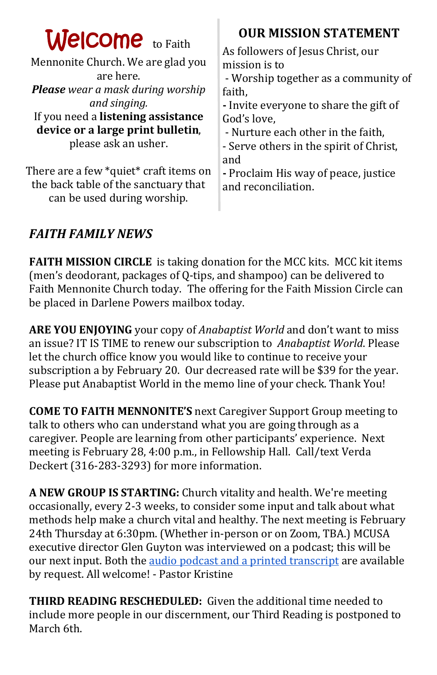| <b>Welcome</b> to Faith<br>Mennonite Church. We are glad you<br>are here.<br><b>Please</b> wear a mask during worship<br>and singing.<br>If you need a listening assistance<br>device or a large print bulletin,<br>please ask an usher. | <b>OUR MISSION STATEMENT</b><br>As followers of Jesus Christ, our<br>mission is to<br>- Worship together as a community of<br>faith,<br>- Invite everyone to share the gift of<br>God's love,<br>- Nurture each other in the faith,<br>- Serve others in the spirit of Christ,<br>and |
|------------------------------------------------------------------------------------------------------------------------------------------------------------------------------------------------------------------------------------------|---------------------------------------------------------------------------------------------------------------------------------------------------------------------------------------------------------------------------------------------------------------------------------------|
| There are a few *quiet* craft items on<br>the back table of the sanctuary that<br>can be used during worship.                                                                                                                            | - Proclaim His way of peace, justice<br>and reconciliation.                                                                                                                                                                                                                           |

### *FAITH FAMILY NEWS*

**FAITH MISSION CIRCLE** is taking donation for the MCC kits. MCC kit items (men's deodorant, packages of Q-tips, and shampoo) can be delivered to Faith Mennonite Church today. The offering for the Faith Mission Circle can be placed in Darlene Powers mailbox today.

**ARE YOU ENJOYING** your copy of *Anabaptist World* and don't want to miss an issue? IT IS TIME to renew our subscription to *Anabaptist World*. Please let the church office know you would like to continue to receive your subscription a by February 20. Our decreased rate will be \$39 for the year. Please put Anabaptist World in the memo line of your check. Thank You!

**COME TO FAITH MENNONITE'S** next Caregiver Support Group meeting to talk to others who can understand what you are going through as a caregiver. People are learning from other participants' experience. Next meeting is February 28, 4:00 p.m., in Fellowship Hall. Call/text Verda Deckert (316-283-3293) for more information.

**A NEW GROUP IS STARTING:** Church vitality and health. We're meeting occasionally, every 2-3 weeks, to consider some input and talk about what methods help make a church vital and healthy. The next meeting is February 24th Thursday at 6:30pm. (Whether in-person or on Zoom, TBA.) MCUSA executive director Glen Guyton was interviewed on a podcast; this will be our next input. Both the [audio podcast and a printed transcript](https://www.mennomedia.org/blog/2022/02/02/transforming-with-glen-guyton/) are available by request. All welcome! - Pastor Kristine

**THIRD READING RESCHEDULED:** Given the additional time needed to include more people in our discernment, our Third Reading is postponed to March 6th.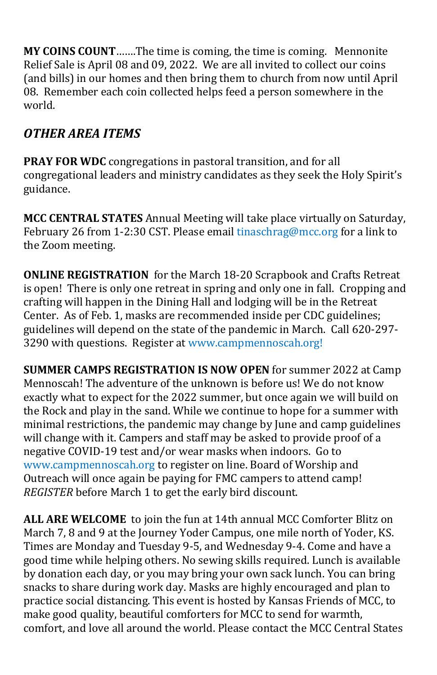**MY COINS COUNT**…….The time is coming, the time is coming. Mennonite Relief Sale is April 08 and 09, 2022. We are all invited to collect our coins (and bills) in our homes and then bring them to church from now until April 08. Remember each coin collected helps feed a person somewhere in the world.

## *OTHER AREA ITEMS*

**PRAY FOR WDC** congregations in pastoral transition, and for all congregational leaders and ministry candidates as they seek the Holy Spirit's guidance.

**MCC CENTRAL STATES** Annual Meeting will take place virtually on Saturday, February 26 from 1-2:30 CST. Please email [tinaschrag@mcc.org](mailto:tinaschrag@mcc.org) for a link to the Zoom meeting.

**ONLINE REGISTRATION** for the March 18-20 Scrapbook and Crafts Retreat is open! There is only one retreat in spring and only one in fall. Cropping and crafting will happen in the Dining Hall and lodging will be in the Retreat Center. As of Feb. 1, masks are recommended inside per CDC guidelines; guidelines will depend on the state of the pandemic in March. Call 620-297- 3290 with questions. [Register at www.campmennoscah.org!](https://campmennoscah.campbrainregistration.com/)

**SUMMER CAMPS REGISTRATION IS NOW OPEN** for summer 2022 at Camp Mennoscah! The adventure of the unknown is before us! We do not know exactly what to expect for the 2022 summer, but once again we will build on the Rock and play in the sand. While we continue to hope for a summer with minimal restrictions, the pandemic may change by June and camp guidelines will change with it. Campers and staff may be asked to provide proof of a negative COVID-19 test and/or wear masks when indoors. Go to www.campmennoscah.org to register on line. Board of Worship and Outreach will once again be paying for FMC campers to attend camp! *REGISTER* before March 1 to get the early bird discount.

**ALL ARE WELCOME** to join the fun at 14th annual MCC Comforter Blitz on March 7, 8 and 9 at the Journey Yoder Campus, one mile north of Yoder, KS. Times are Monday and Tuesday 9-5, and Wednesday 9-4. Come and have a good time while helping others. No sewing skills required. Lunch is available by donation each day, or you may bring your own sack lunch. You can bring snacks to share during work day. Masks are highly encouraged and plan to practice social distancing. This event is hosted by Kansas Friends of MCC, to make good quality, beautiful comforters for MCC to send for warmth, comfort, and love all around the world. Please contact the MCC Central States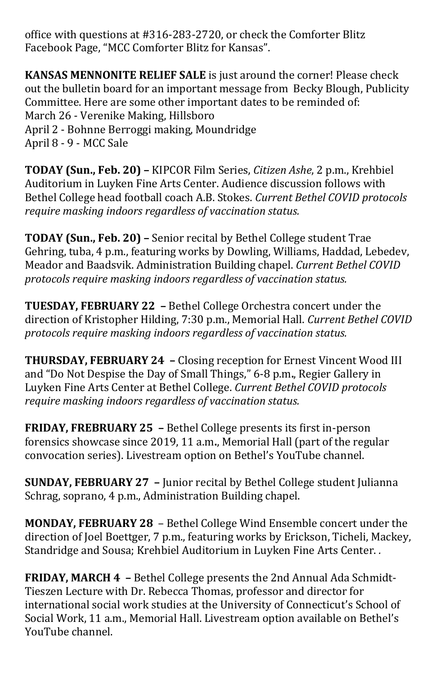office with questions at #316-283-2720, or check the Comforter Blitz Facebook Page, "MCC Comforter Blitz for Kansas".

**KANSAS MENNONITE RELIEF SALE** is just around the corner! Please check out the bulletin board for an important message from Becky Blough, Publicity Committee. Here are some other important dates to be reminded of: March 26 - Verenike Making, Hillsboro April 2 - Bohnne Berroggi making, Moundridge April 8 - 9 - MCC Sale

**TODAY (Sun., Feb. 20) –** KIPCOR Film Series, *Citizen Ashe*, 2 p.m., Krehbiel Auditorium in Luyken Fine Arts Center. Audience discussion follows with Bethel College head football coach A.B. Stokes. *Current Bethel COVID protocols require masking indoors regardless of vaccination status.*

**TODAY (Sun., Feb. 20) –** Senior recital by Bethel College student Trae Gehring, tuba, 4 p.m., featuring works by Dowling, Williams, Haddad, Lebedev, Meador and Baadsvik. Administration Building chapel. *Current Bethel COVID protocols require masking indoors regardless of vaccination status.*

**TUESDAY, FEBRUARY 22 –** Bethel College Orchestra concert under the direction of Kristopher Hilding, 7:30 p.m., Memorial Hall. *Current Bethel COVID protocols require masking indoors regardless of vaccination status.*

**THURSDAY, FEBRUARY 24 –** Closing reception for Ernest Vincent Wood III and "Do Not Despise the Day of Small Things," 6-8 p.m**.**, Regier Gallery in Luyken Fine Arts Center at Bethel College. *Current Bethel COVID protocols require masking indoors regardless of vaccination status.*

**FRIDAY, FREBRUARY 25 –** Bethel College presents its first in-person forensics showcase since 2019, 11 a.m**.**, Memorial Hall (part of the regular convocation series). Livestream option on Bethel's YouTube channel.

**SUNDAY, FEBRUARY 27 –** Junior recital by Bethel College student Julianna Schrag, soprano, 4 p.m., Administration Building chapel.

**MONDAY, FEBRUARY 28** – Bethel College Wind Ensemble concert under the direction of Joel Boettger, 7 p.m., featuring works by Erickson, Ticheli, Mackey, Standridge and Sousa; Krehbiel Auditorium in Luyken Fine Arts Center. *.*

**FRIDAY, MARCH 4 –** Bethel College presents the 2nd Annual Ada Schmidt-Tieszen Lecture with Dr. Rebecca Thomas, professor and director for international social work studies at the University of Connecticut's School of Social Work, 11 a.m., Memorial Hall. Livestream option available on Bethel's YouTube channel.